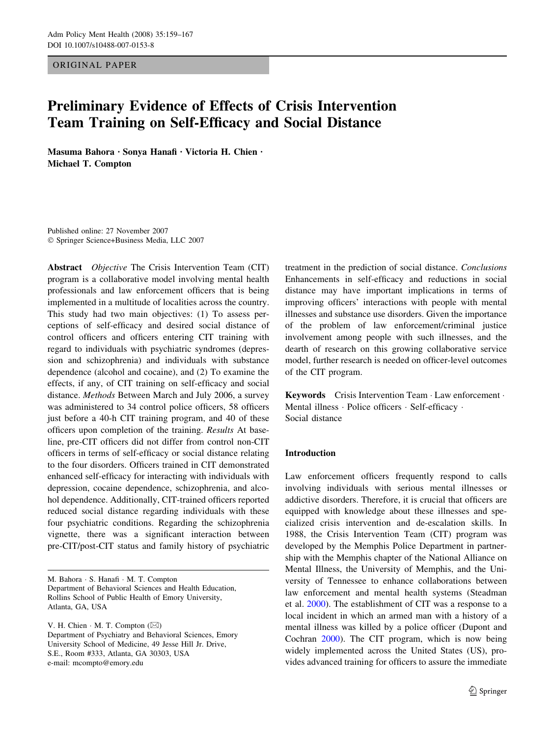ORIGINAL PAPER

# Preliminary Evidence of Effects of Crisis Intervention Team Training on Self-Efficacy and Social Distance

Masuma Bahora · Sonya Hanafi · Victoria H. Chien · Michael T. Compton

Published online: 27 November 2007 Springer Science+Business Media, LLC 2007

Abstract Objective The Crisis Intervention Team (CIT) program is a collaborative model involving mental health professionals and law enforcement officers that is being implemented in a multitude of localities across the country. This study had two main objectives: (1) To assess perceptions of self-efficacy and desired social distance of control officers and officers entering CIT training with regard to individuals with psychiatric syndromes (depression and schizophrenia) and individuals with substance dependence (alcohol and cocaine), and (2) To examine the effects, if any, of CIT training on self-efficacy and social distance. Methods Between March and July 2006, a survey was administered to 34 control police officers, 58 officers just before a 40-h CIT training program, and 40 of these officers upon completion of the training. Results At baseline, pre-CIT officers did not differ from control non-CIT officers in terms of self-efficacy or social distance relating to the four disorders. Officers trained in CIT demonstrated enhanced self-efficacy for interacting with individuals with depression, cocaine dependence, schizophrenia, and alcohol dependence. Additionally, CIT-trained officers reported reduced social distance regarding individuals with these four psychiatric conditions. Regarding the schizophrenia vignette, there was a significant interaction between pre-CIT/post-CIT status and family history of psychiatric

M. Bahora · S. Hanafi · M. T. Compton Department of Behavioral Sciences and Health Education, Rollins School of Public Health of Emory University, Atlanta, GA, USA

V. H. Chien  $\cdot$  M. T. Compton  $(\boxtimes)$ Department of Psychiatry and Behavioral Sciences, Emory University School of Medicine, 49 Jesse Hill Jr. Drive, S.E., Room #333, Atlanta, GA 30303, USA e-mail: mcompto@emory.edu

treatment in the prediction of social distance. Conclusions Enhancements in self-efficacy and reductions in social distance may have important implications in terms of improving officers' interactions with people with mental illnesses and substance use disorders. Given the importance of the problem of law enforcement/criminal justice involvement among people with such illnesses, and the dearth of research on this growing collaborative service model, further research is needed on officer-level outcomes of the CIT program.

Keywords Crisis Intervention Team · Law enforcement · Mental illness · Police officers · Self-efficacy · Social distance

# Introduction

Law enforcement officers frequently respond to calls involving individuals with serious mental illnesses or addictive disorders. Therefore, it is crucial that officers are equipped with knowledge about these illnesses and specialized crisis intervention and de-escalation skills. In 1988, the Crisis Intervention Team (CIT) program was developed by the Memphis Police Department in partnership with the Memphis chapter of the National Alliance on Mental Illness, the University of Memphis, and the University of Tennessee to enhance collaborations between law enforcement and mental health systems (Steadman et al. [2000](#page-8-0)). The establishment of CIT was a response to a local incident in which an armed man with a history of a mental illness was killed by a police officer (Dupont and Cochran [2000\)](#page-8-0). The CIT program, which is now being widely implemented across the United States (US), provides advanced training for officers to assure the immediate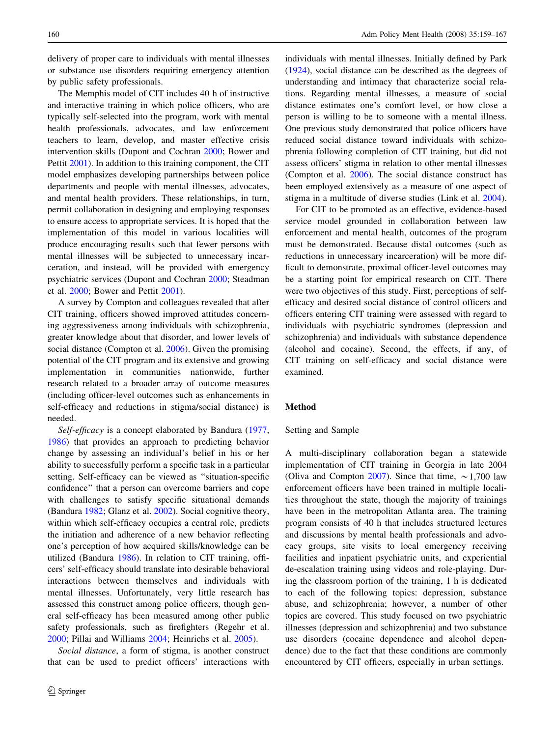delivery of proper care to individuals with mental illnesses or substance use disorders requiring emergency attention by public safety professionals.

The Memphis model of CIT includes 40 h of instructive and interactive training in which police officers, who are typically self-selected into the program, work with mental health professionals, advocates, and law enforcement teachers to learn, develop, and master effective crisis intervention skills (Dupont and Cochran [2000;](#page-8-0) Bower and Pettit [2001\)](#page-7-0). In addition to this training component, the CIT model emphasizes developing partnerships between police departments and people with mental illnesses, advocates, and mental health providers. These relationships, in turn, permit collaboration in designing and employing responses to ensure access to appropriate services. It is hoped that the implementation of this model in various localities will produce encouraging results such that fewer persons with mental illnesses will be subjected to unnecessary incarceration, and instead, will be provided with emergency psychiatric services (Dupont and Cochran [2000;](#page-8-0) Steadman et al. [2000;](#page-8-0) Bower and Pettit [2001](#page-7-0)).

A survey by Compton and colleagues revealed that after CIT training, officers showed improved attitudes concerning aggressiveness among individuals with schizophrenia, greater knowledge about that disorder, and lower levels of social distance (Compton et al. [2006](#page-8-0)). Given the promising potential of the CIT program and its extensive and growing implementation in communities nationwide, further research related to a broader array of outcome measures (including officer-level outcomes such as enhancements in self-efficacy and reductions in stigma/social distance) is needed.

Self-efficacy is a concept elaborated by Bandura ([1977,](#page-7-0) [1986\)](#page-7-0) that provides an approach to predicting behavior change by assessing an individual's belief in his or her ability to successfully perform a specific task in a particular setting. Self-efficacy can be viewed as ''situation-specific confidence'' that a person can overcome barriers and cope with challenges to satisfy specific situational demands (Bandura [1982;](#page-7-0) Glanz et al. [2002](#page-8-0)). Social cognitive theory, within which self-efficacy occupies a central role, predicts the initiation and adherence of a new behavior reflecting one's perception of how acquired skills/knowledge can be utilized (Bandura [1986](#page-7-0)). In relation to CIT training, officers' self-efficacy should translate into desirable behavioral interactions between themselves and individuals with mental illnesses. Unfortunately, very little research has assessed this construct among police officers, though general self-efficacy has been measured among other public safety professionals, such as firefighters (Regehr et al. [2000;](#page-8-0) Pillai and Williams [2004](#page-8-0); Heinrichs et al. [2005\)](#page-8-0).

Social distance, a form of stigma, is another construct that can be used to predict officers' interactions with individuals with mental illnesses. Initially defined by Park [\(1924](#page-8-0)), social distance can be described as the degrees of understanding and intimacy that characterize social relations. Regarding mental illnesses, a measure of social distance estimates one's comfort level, or how close a person is willing to be to someone with a mental illness. One previous study demonstrated that police officers have reduced social distance toward individuals with schizophrenia following completion of CIT training, but did not assess officers' stigma in relation to other mental illnesses (Compton et al. [2006](#page-8-0)). The social distance construct has been employed extensively as a measure of one aspect of stigma in a multitude of diverse studies (Link et al. [2004](#page-8-0)).

For CIT to be promoted as an effective, evidence-based service model grounded in collaboration between law enforcement and mental health, outcomes of the program must be demonstrated. Because distal outcomes (such as reductions in unnecessary incarceration) will be more difficult to demonstrate, proximal officer-level outcomes may be a starting point for empirical research on CIT. There were two objectives of this study. First, perceptions of selfefficacy and desired social distance of control officers and officers entering CIT training were assessed with regard to individuals with psychiatric syndromes (depression and schizophrenia) and individuals with substance dependence (alcohol and cocaine). Second, the effects, if any, of CIT training on self-efficacy and social distance were examined.

### Method

### Setting and Sample

A multi-disciplinary collaboration began a statewide implementation of CIT training in Georgia in late 2004 (Oliva and Compton [2007\)](#page-8-0). Since that time,  $\sim 1,700$  law enforcement officers have been trained in multiple localities throughout the state, though the majority of trainings have been in the metropolitan Atlanta area. The training program consists of 40 h that includes structured lectures and discussions by mental health professionals and advocacy groups, site visits to local emergency receiving facilities and inpatient psychiatric units, and experiential de-escalation training using videos and role-playing. During the classroom portion of the training, 1 h is dedicated to each of the following topics: depression, substance abuse, and schizophrenia; however, a number of other topics are covered. This study focused on two psychiatric illnesses (depression and schizophrenia) and two substance use disorders (cocaine dependence and alcohol dependence) due to the fact that these conditions are commonly encountered by CIT officers, especially in urban settings.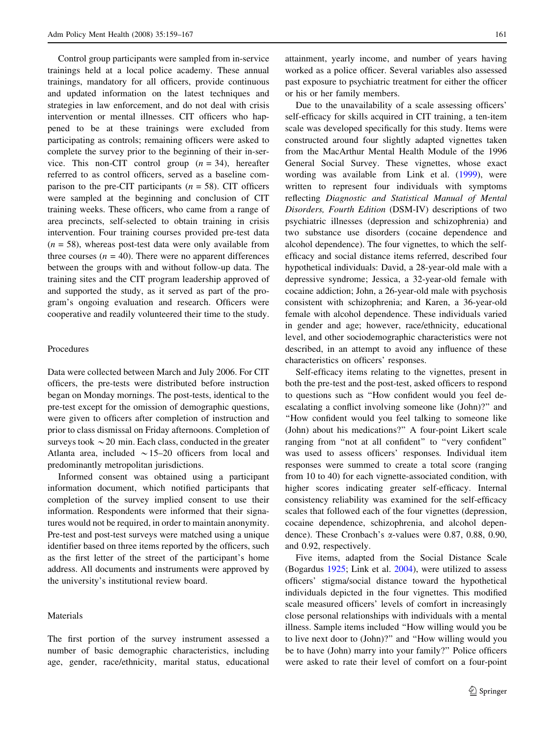Control group participants were sampled from in-service trainings held at a local police academy. These annual trainings, mandatory for all officers, provide continuous and updated information on the latest techniques and strategies in law enforcement, and do not deal with crisis intervention or mental illnesses. CIT officers who happened to be at these trainings were excluded from participating as controls; remaining officers were asked to complete the survey prior to the beginning of their in-service. This non-CIT control group  $(n = 34)$ , hereafter referred to as control officers, served as a baseline comparison to the pre-CIT participants  $(n = 58)$ . CIT officers were sampled at the beginning and conclusion of CIT training weeks. These officers, who came from a range of area precincts, self-selected to obtain training in crisis intervention. Four training courses provided pre-test data  $(n = 58)$ , whereas post-test data were only available from three courses  $(n = 40)$ . There were no apparent differences between the groups with and without follow-up data. The training sites and the CIT program leadership approved of and supported the study, as it served as part of the program's ongoing evaluation and research. Officers were cooperative and readily volunteered their time to the study.

### Procedures

Data were collected between March and July 2006. For CIT officers, the pre-tests were distributed before instruction began on Monday mornings. The post-tests, identical to the pre-test except for the omission of demographic questions, were given to officers after completion of instruction and prior to class dismissal on Friday afternoons. Completion of surveys took  $\sim$  20 min. Each class, conducted in the greater Atlanta area, included  $\sim$  15–20 officers from local and predominantly metropolitan jurisdictions.

Informed consent was obtained using a participant information document, which notified participants that completion of the survey implied consent to use their information. Respondents were informed that their signatures would not be required, in order to maintain anonymity. Pre-test and post-test surveys were matched using a unique identifier based on three items reported by the officers, such as the first letter of the street of the participant's home address. All documents and instruments were approved by the university's institutional review board.

# Materials

The first portion of the survey instrument assessed a number of basic demographic characteristics, including age, gender, race/ethnicity, marital status, educational

attainment, yearly income, and number of years having worked as a police officer. Several variables also assessed past exposure to psychiatric treatment for either the officer or his or her family members.

Due to the unavailability of a scale assessing officers' self-efficacy for skills acquired in CIT training, a ten-item scale was developed specifically for this study. Items were constructed around four slightly adapted vignettes taken from the MacArthur Mental Health Module of the 1996 General Social Survey. These vignettes, whose exact wording was available from Link et al. [\(1999](#page-8-0)), were written to represent four individuals with symptoms reflecting Diagnostic and Statistical Manual of Mental Disorders, Fourth Edition (DSM-IV) descriptions of two psychiatric illnesses (depression and schizophrenia) and two substance use disorders (cocaine dependence and alcohol dependence). The four vignettes, to which the selfefficacy and social distance items referred, described four hypothetical individuals: David, a 28-year-old male with a depressive syndrome; Jessica, a 32-year-old female with cocaine addiction; John, a 26-year-old male with psychosis consistent with schizophrenia; and Karen, a 36-year-old female with alcohol dependence. These individuals varied in gender and age; however, race/ethnicity, educational level, and other sociodemographic characteristics were not described, in an attempt to avoid any influence of these characteristics on officers' responses.

Self-efficacy items relating to the vignettes, present in both the pre-test and the post-test, asked officers to respond to questions such as ''How confident would you feel deescalating a conflict involving someone like (John)?'' and ''How confident would you feel talking to someone like (John) about his medications?'' A four-point Likert scale ranging from ''not at all confident'' to ''very confident'' was used to assess officers' responses. Individual item responses were summed to create a total score (ranging from 10 to 40) for each vignette-associated condition, with higher scores indicating greater self-efficacy. Internal consistency reliability was examined for the self-efficacy scales that followed each of the four vignettes (depression, cocaine dependence, schizophrenia, and alcohol dependence). These Cronbach's a-values were 0.87, 0.88, 0.90, and 0.92, respectively.

Five items, adapted from the Social Distance Scale (Bogardus [1925](#page-7-0); Link et al. [2004](#page-8-0)), were utilized to assess officers' stigma/social distance toward the hypothetical individuals depicted in the four vignettes. This modified scale measured officers' levels of comfort in increasingly close personal relationships with individuals with a mental illness. Sample items included ''How willing would you be to live next door to (John)?'' and ''How willing would you be to have (John) marry into your family?'' Police officers were asked to rate their level of comfort on a four-point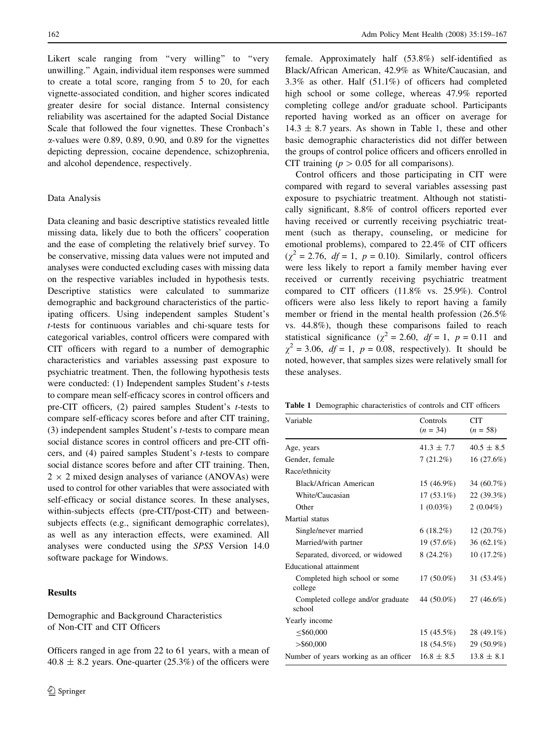Likert scale ranging from "very willing" to "very unwilling.'' Again, individual item responses were summed to create a total score, ranging from 5 to 20, for each vignette-associated condition, and higher scores indicated greater desire for social distance. Internal consistency reliability was ascertained for the adapted Social Distance Scale that followed the four vignettes. These Cronbach's  $\alpha$ -values were 0.89, 0.89, 0.90, and 0.89 for the vignettes depicting depression, cocaine dependence, schizophrenia, and alcohol dependence, respectively.

### Data Analysis

Data cleaning and basic descriptive statistics revealed little missing data, likely due to both the officers' cooperation and the ease of completing the relatively brief survey. To be conservative, missing data values were not imputed and analyses were conducted excluding cases with missing data on the respective variables included in hypothesis tests. Descriptive statistics were calculated to summarize demographic and background characteristics of the participating officers. Using independent samples Student's t-tests for continuous variables and chi-square tests for categorical variables, control officers were compared with CIT officers with regard to a number of demographic characteristics and variables assessing past exposure to psychiatric treatment. Then, the following hypothesis tests were conducted: (1) Independent samples Student's *t*-tests to compare mean self-efficacy scores in control officers and pre-CIT officers, (2) paired samples Student's t-tests to compare self-efficacy scores before and after CIT training, (3) independent samples Student's t-tests to compare mean social distance scores in control officers and pre-CIT officers, and (4) paired samples Student's t-tests to compare social distance scores before and after CIT training. Then,  $2 \times 2$  mixed design analyses of variance (ANOVAs) were used to control for other variables that were associated with self-efficacy or social distance scores. In these analyses, within-subjects effects (pre-CIT/post-CIT) and betweensubjects effects (e.g., significant demographic correlates), as well as any interaction effects, were examined. All analyses were conducted using the SPSS Version 14.0 software package for Windows.

# Results

Demographic and Background Characteristics of Non-CIT and CIT Officers

Officers ranged in age from 22 to 61 years, with a mean of  $40.8 \pm 8.2$  years. One-quarter (25.3%) of the officers were female. Approximately half (53.8%) self-identified as Black/African American, 42.9% as White/Caucasian, and 3.3% as other. Half (51.1%) of officers had completed high school or some college, whereas 47.9% reported completing college and/or graduate school. Participants reported having worked as an officer on average for  $14.3 \pm 8.7$  years. As shown in Table 1, these and other basic demographic characteristics did not differ between the groups of control police officers and officers enrolled in CIT training ( $p > 0.05$  for all comparisons).

Control officers and those participating in CIT were compared with regard to several variables assessing past exposure to psychiatric treatment. Although not statistically significant, 8.8% of control officers reported ever having received or currently receiving psychiatric treatment (such as therapy, counseling, or medicine for emotional problems), compared to 22.4% of CIT officers  $(\chi^2 = 2.76, df = 1, p = 0.10)$ . Similarly, control officers were less likely to report a family member having ever received or currently receiving psychiatric treatment compared to CIT officers (11.8% vs. 25.9%). Control officers were also less likely to report having a family member or friend in the mental health profession (26.5% vs. 44.8%), though these comparisons failed to reach statistical significance ( $\chi^2 = 2.60$ ,  $df = 1$ ,  $p = 0.11$  and  $\chi^2$  = 3.06,  $df = 1$ ,  $p = 0.08$ , respectively). It should be noted, however, that samples sizes were relatively small for these analyses.

Table 1 Demographic characteristics of controls and CIT officers

| Variable                                    | Controls<br>$(n = 34)$ | <b>CIT</b><br>$(n = 58)$ |
|---------------------------------------------|------------------------|--------------------------|
|                                             |                        |                          |
| Age, years                                  | $41.3 \pm 7.7$         | $40.5 \pm 8.5$           |
| Gender, female                              | $7(21.2\%)$            | 16(27.6%)                |
| Race/ethnicity                              |                        |                          |
| Black/African American                      | $15(46.9\%)$           | 34 (60.7%)               |
| White/Caucasian                             | $17(53.1\%)$           | 22(39.3%)                |
| Other                                       | $1(0.03\%)$            | $2(0.04\%)$              |
| Martial status                              |                        |                          |
| Single/never married                        | $6(18.2\%)$            | 12(20.7%)                |
| Married/with partner                        | 19 (57.6%)             | $36(62.1\%)$             |
| Separated, divorced, or widowed             | $8(24.2\%)$            | $10(17.2\%)$             |
| Educational attainment                      |                        |                          |
| Completed high school or some<br>college    | $17(50.0\%)$           | 31 (53.4%)               |
| Completed college and/or graduate<br>school | 44 (50.0%)             | 27 (46.6%)               |
| Yearly income                               |                        |                          |
| $\leq$ \$60,000                             | $15(45.5\%)$           | 28 (49.1%)               |
| $>$ \$60,000                                | $18(54.5\%)$           | 29 (50.9%)               |
| Number of years working as an officer       | $16.8 \pm 8.5$         | $13.8 \pm 8.1$           |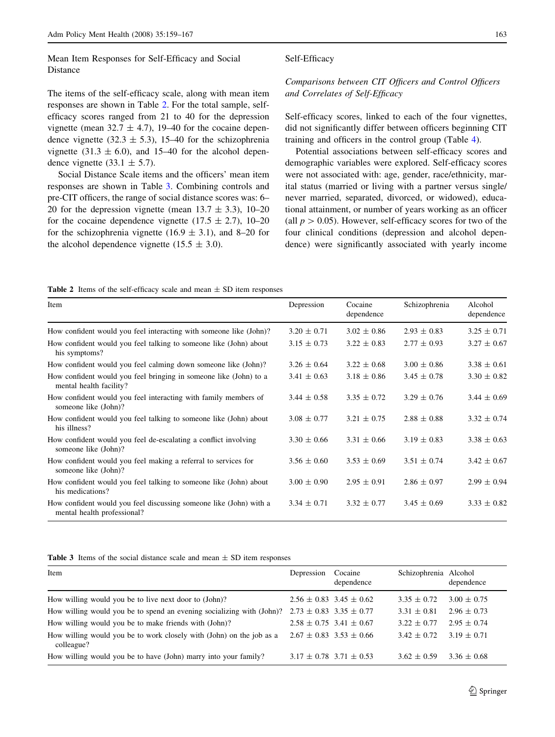Mean Item Responses for Self-Efficacy and Social Distance

The items of the self-efficacy scale, along with mean item responses are shown in Table 2. For the total sample, selfefficacy scores ranged from 21 to 40 for the depression vignette (mean  $32.7 \pm 4.7$ ), 19–40 for the cocaine dependence vignette (32.3  $\pm$  5.3), 15–40 for the schizophrenia vignette (31.3  $\pm$  6.0), and 15–40 for the alcohol dependence vignette (33.1  $\pm$  5.7).

Social Distance Scale items and the officers' mean item responses are shown in Table 3. Combining controls and pre-CIT officers, the range of social distance scores was: 6– 20 for the depression vignette (mean  $13.7 \pm 3.3$ ), 10–20 for the cocaine dependence vignette (17.5  $\pm$  2.7), 10–20 for the schizophrenia vignette (16.9  $\pm$  3.1), and 8–20 for the alcohol dependence vignette  $(15.5 \pm 3.0)$ .

# Comparisons between CIT Officers and Control Officers and Correlates of Self-Efficacy

Self-efficacy scores, linked to each of the four vignettes, did not significantly differ between officers beginning CIT training and officers in the control group (Table [4](#page-5-0)).

Potential associations between self-efficacy scores and demographic variables were explored. Self-efficacy scores were not associated with: age, gender, race/ethnicity, marital status (married or living with a partner versus single/ never married, separated, divorced, or widowed), educational attainment, or number of years working as an officer (all  $p > 0.05$ ). However, self-efficacy scores for two of the four clinical conditions (depression and alcohol dependence) were significantly associated with yearly income

Table 2 Items of the self-efficacy scale and mean  $\pm$  SD item responses

| Item                                                                                              | Depression      | Cocaine<br>dependence | Schizophrenia   | Alcohol<br>dependence |
|---------------------------------------------------------------------------------------------------|-----------------|-----------------------|-----------------|-----------------------|
| How confident would you feel interacting with someone like (John)?                                | $3.20 \pm 0.71$ | $3.02 \pm 0.86$       | $2.93 \pm 0.83$ | $3.25 \pm 0.71$       |
| How confident would you feel talking to someone like (John) about<br>his symptoms?                | $3.15 \pm 0.73$ | $3.22 \pm 0.83$       | $2.77 \pm 0.93$ | $3.27 \pm 0.67$       |
| How confident would you feel calming down someone like (John)?                                    | $3.26 \pm 0.64$ | $3.22 \pm 0.68$       | $3.00 \pm 0.86$ | $3.38 \pm 0.61$       |
| How confident would you feel bringing in someone like (John) to a<br>mental health facility?      | $3.41 \pm 0.63$ | $3.18 \pm 0.86$       | $3.45 \pm 0.78$ | $3.30 \pm 0.82$       |
| How confident would you feel interacting with family members of<br>someone like (John)?           | $3.44 \pm 0.58$ | $3.35 \pm 0.72$       | $3.29 \pm 0.76$ | $3.44 \pm 0.69$       |
| How confident would you feel talking to someone like (John) about<br>his illness?                 | $3.08 \pm 0.77$ | $3.21 \pm 0.75$       | $2.88 \pm 0.88$ | $3.32 \pm 0.74$       |
| How confident would you feel de-escalating a conflict involving<br>someone like (John)?           | $3.30 \pm 0.66$ | $3.31 \pm 0.66$       | $3.19 \pm 0.83$ | $3.38 \pm 0.63$       |
| How confident would you feel making a referral to services for<br>someone like (John)?            | $3.56 \pm 0.60$ | $3.53 \pm 0.69$       | $3.51 \pm 0.74$ | $3.42 \pm 0.67$       |
| How confident would you feel talking to someone like (John) about<br>his medications?             | $3.00 \pm 0.90$ | $2.95 \pm 0.91$       | $2.86 \pm 0.97$ | $2.99 \pm 0.94$       |
| How confident would you feel discussing someone like (John) with a<br>mental health professional? | $3.34 \pm 0.71$ | $3.32 \pm 0.77$       | $3.45 \pm 0.69$ | $3.33 \pm 0.82$       |

Table 3 Items of the social distance scale and mean  $\pm$  SD item responses

| Item                                                                                                  | Depression                      | Cocaine<br>dependence | Schizophrenia Alcohol | dependence      |
|-------------------------------------------------------------------------------------------------------|---------------------------------|-----------------------|-----------------------|-----------------|
| How willing would you be to live next door to (John)?                                                 | $2.56 \pm 0.83$ 3.45 $\pm$ 0.62 |                       | $3.35 \pm 0.72$       | $3.00 \pm 0.75$ |
| How willing would you be to spend an evening socializing with (John)? 2.73 $\pm$ 0.83 3.35 $\pm$ 0.77 |                                 |                       | $3.31 \pm 0.81$       | $2.96 \pm 0.73$ |
| How willing would you be to make friends with (John)?                                                 | $2.58 \pm 0.75$ 3.41 $\pm$ 0.67 |                       | $3.22 \pm 0.77$       | $2.95 \pm 0.74$ |
| How willing would you be to work closely with (John) on the job as a<br>colleague?                    | $2.67 \pm 0.83$ 3.53 $\pm$ 0.66 |                       | $3.42 \pm 0.72$       | $3.19 \pm 0.71$ |
| How willing would you be to have (John) marry into your family?                                       | $3.17 \pm 0.78$ $3.71 \pm 0.53$ |                       | $3.62 \pm 0.59$       | $3.36 \pm 0.68$ |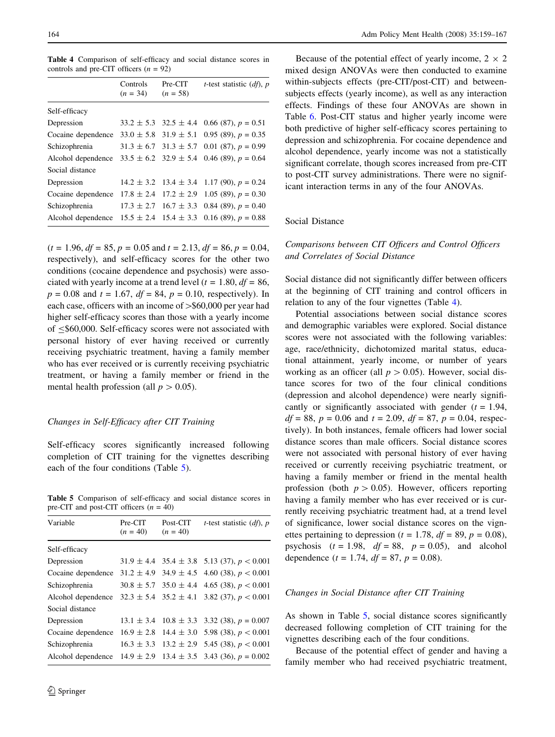<span id="page-5-0"></span>Table 4 Comparison of self-efficacy and social distance scores in controls and pre-CIT officers  $(n = 92)$ 

|                    | Controls<br>$(n = 34)$ | Pre-CIT<br>$(n = 58)$         | <i>t</i> -test statistic $(df)$ , p |
|--------------------|------------------------|-------------------------------|-------------------------------------|
| Self-efficacy      |                        |                               |                                     |
| Depression         |                        | $33.2 \pm 5.3$ $32.5 \pm 4.4$ | $0.66(87)$ , $p = 0.51$             |
| Cocaine dependence |                        | $33.0 \pm 5.8$ 31.9 $\pm 5.1$ | 0.95 (89), $p = 0.35$               |
| Schizophrenia      | $31.3 \pm 6.7$         | $31.3 \pm 5.7$                | $0.01(87)$ , $p = 0.99$             |
| Alcohol dependence |                        | $33.5 \pm 6.2$ 32.9 $\pm$ 5.4 | 0.46 (89), $p = 0.64$               |
| Social distance    |                        |                               |                                     |
| Depression         | $14.2 \pm 3.2$         | $13.4 \pm 3.4$                | 1.17 (90), $p = 0.24$               |
| Cocaine dependence | $17.8 \pm 2.4$         | $17.2 \pm 2.9$                | 1.05 (89), $p = 0.30$               |
| Schizophrenia      |                        | $17.3 \pm 2.7$ $16.7 \pm 3.3$ | 0.84 (89), $p = 0.40$               |
| Alcohol dependence |                        | $15.5 \pm 2.4$ 15.4 $\pm$ 3.3 | 0.16 (89), $p = 0.88$               |

 $(t = 1.96, df = 85, p = 0.05 \text{ and } t = 2.13, df = 86, p = 0.04,$ respectively), and self-efficacy scores for the other two conditions (cocaine dependence and psychosis) were associated with yearly income at a trend level ( $t = 1.80$ ,  $df = 86$ ,  $p = 0.08$  and  $t = 1.67$ ,  $df = 84$ ,  $p = 0.10$ , respectively). In each case, officers with an income of  $\text{> } $60,000$  per year had higher self-efficacy scores than those with a yearly income of  $\leq$  \$60,000. Self-efficacy scores were not associated with personal history of ever having received or currently receiving psychiatric treatment, having a family member who has ever received or is currently receiving psychiatric treatment, or having a family member or friend in the mental health profession (all  $p > 0.05$ ).

## Changes in Self-Efficacy after CIT Training

Self-efficacy scores significantly increased following completion of CIT training for the vignettes describing each of the four conditions (Table 5).

Table 5 Comparison of self-efficacy and social distance scores in pre-CIT and post-CIT officers  $(n = 40)$ 

| Variable           | Pre-CIT<br>$(n = 40)$ | Post-CIT<br>$(n = 40)$ | <i>t</i> -test statistic $(df)$ , p                    |
|--------------------|-----------------------|------------------------|--------------------------------------------------------|
| Self-efficacy      |                       |                        |                                                        |
| Depression         |                       |                        | $31.9 \pm 4.4$ $35.4 \pm 3.8$ $5.13$ (37), $p < 0.001$ |
| Cocaine dependence | $31.2 \pm 4.9$        | $34.9 \pm 4.5$         | 4.60 (38), $p < 0.001$                                 |
| Schizophrenia      | $30.8 \pm 5.7$        |                        | $35.0 \pm 4.4$ 4.65 (38), $p < 0.001$                  |
| Alcohol dependence |                       |                        | $32.3 \pm 5.4$ $35.2 \pm 4.1$ $3.82$ (37), $p < 0.001$ |
| Social distance    |                       |                        |                                                        |
| Depression         | $13.1 \pm 3.4$        |                        | $10.8 \pm 3.3$ 3.32 (38), $p = 0.007$                  |
| Cocaine dependence | $16.9 \pm 2.8$        |                        | $14.4 \pm 3.0$ 5.98 (38), $p < 0.001$                  |
| Schizophrenia      | $16.3 \pm 3.3$        |                        | $13.2 \pm 2.9$ 5.45 (38), $p < 0.001$                  |
| Alcohol dependence | $14.9 \pm 2.9$        |                        | $13.4 \pm 3.5$ 3.43 (36), $p = 0.002$                  |

Because of the potential effect of yearly income,  $2 \times 2$ mixed design ANOVAs were then conducted to examine within-subjects effects (pre-CIT/post-CIT) and betweensubjects effects (yearly income), as well as any interaction effects. Findings of these four ANOVAs are shown in Table [6](#page-6-0). Post-CIT status and higher yearly income were both predictive of higher self-efficacy scores pertaining to depression and schizophrenia. For cocaine dependence and alcohol dependence, yearly income was not a statistically significant correlate, though scores increased from pre-CIT to post-CIT survey administrations. There were no significant interaction terms in any of the four ANOVAs.

### Social Distance

# Comparisons between CIT Officers and Control Officers and Correlates of Social Distance

Social distance did not significantly differ between officers at the beginning of CIT training and control officers in relation to any of the four vignettes (Table 4).

Potential associations between social distance scores and demographic variables were explored. Social distance scores were not associated with the following variables: age, race/ethnicity, dichotomized marital status, educational attainment, yearly income, or number of years working as an officer (all  $p > 0.05$ ). However, social distance scores for two of the four clinical conditions (depression and alcohol dependence) were nearly significantly or significantly associated with gender  $(t = 1.94,$  $df = 88$ ,  $p = 0.06$  and  $t = 2.09$ ,  $df = 87$ ,  $p = 0.04$ , respectively). In both instances, female officers had lower social distance scores than male officers. Social distance scores were not associated with personal history of ever having received or currently receiving psychiatric treatment, or having a family member or friend in the mental health profession (both  $p > 0.05$ ). However, officers reporting having a family member who has ever received or is currently receiving psychiatric treatment had, at a trend level of significance, lower social distance scores on the vignettes pertaining to depression ( $t = 1.78$ ,  $df = 89$ ,  $p = 0.08$ ), psychosis  $(t = 1.98, df = 88, p = 0.05)$ , and alcohol dependence ( $t = 1.74$ ,  $df = 87$ ,  $p = 0.08$ ).

### Changes in Social Distance after CIT Training

As shown in Table 5, social distance scores significantly decreased following completion of CIT training for the vignettes describing each of the four conditions.

Because of the potential effect of gender and having a family member who had received psychiatric treatment,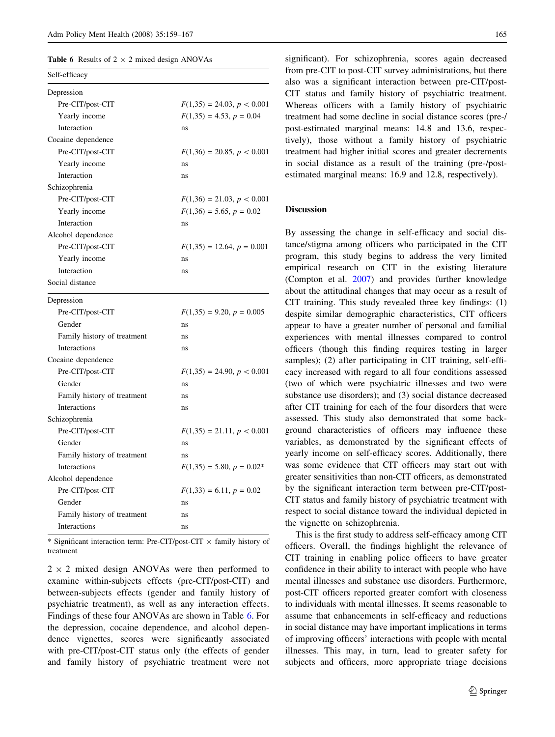<span id="page-6-0"></span>**Table 6** Results of  $2 \times 2$  mixed design ANOVAs

| Self-efficacy               |                              |
|-----------------------------|------------------------------|
| Depression                  |                              |
| Pre-CIT/post-CIT            | $F(1,35) = 24.03, p < 0.001$ |
| Yearly income               | $F(1,35) = 4.53, p = 0.04$   |
| Interaction                 | ns                           |
| Cocaine dependence          |                              |
| Pre-CIT/post-CIT            | $F(1,36) = 20.85, p < 0.001$ |
| Yearly income               | ns                           |
| Interaction                 | ns                           |
| Schizophrenia               |                              |
| Pre-CIT/post-CIT            | $F(1,36) = 21.03, p < 0.001$ |
| Yearly income               | $F(1,36) = 5.65, p = 0.02$   |
| Interaction                 | ns                           |
| Alcohol dependence          |                              |
| Pre-CIT/post-CIT            | $F(1,35) = 12.64, p = 0.001$ |
| Yearly income               | ns                           |
| Interaction                 | ns                           |
| Social distance             |                              |
| Depression                  |                              |
| Pre-CIT/post-CIT            | $F(1,35) = 9.20, p = 0.005$  |
| Gender                      | ns                           |
| Family history of treatment | ns                           |
| Interactions                | ns                           |
| Cocaine dependence          |                              |
| Pre-CIT/post-CIT            | $F(1,35) = 24.90, p < 0.001$ |
| Gender                      | ns                           |
| Family history of treatment | ns                           |
| Interactions                | ns                           |
| Schizophrenia               |                              |
| Pre-CIT/post-CIT            | $F(1,35) = 21.11, p < 0.001$ |
| Gender                      | ns                           |
| Family history of treatment | ns                           |
| Interactions                | $F(1,35) = 5.80, p = 0.02*$  |
| Alcohol dependence          |                              |
| Pre-CIT/post-CIT            | $F(1,33) = 6.11, p = 0.02$   |
| Gender                      | ns                           |
| Family history of treatment | ns                           |
| Interactions                | ns                           |

\* Significant interaction term: Pre-CIT/post-CIT  $\times$  family history of treatment

 $2 \times 2$  mixed design ANOVAs were then performed to examine within-subjects effects (pre-CIT/post-CIT) and between-subjects effects (gender and family history of psychiatric treatment), as well as any interaction effects. Findings of these four ANOVAs are shown in Table 6. For the depression, cocaine dependence, and alcohol dependence vignettes, scores were significantly associated with pre-CIT/post-CIT status only (the effects of gender and family history of psychiatric treatment were not significant). For schizophrenia, scores again decreased from pre-CIT to post-CIT survey administrations, but there also was a significant interaction between pre-CIT/post-CIT status and family history of psychiatric treatment. Whereas officers with a family history of psychiatric treatment had some decline in social distance scores (pre-/ post-estimated marginal means: 14.8 and 13.6, respectively), those without a family history of psychiatric treatment had higher initial scores and greater decrements in social distance as a result of the training (pre-/postestimated marginal means: 16.9 and 12.8, respectively).

# Discussion

By assessing the change in self-efficacy and social distance/stigma among officers who participated in the CIT program, this study begins to address the very limited empirical research on CIT in the existing literature (Compton et al. [2007](#page-7-0)) and provides further knowledge about the attitudinal changes that may occur as a result of CIT training. This study revealed three key findings: (1) despite similar demographic characteristics, CIT officers appear to have a greater number of personal and familial experiences with mental illnesses compared to control officers (though this finding requires testing in larger samples); (2) after participating in CIT training, self-efficacy increased with regard to all four conditions assessed (two of which were psychiatric illnesses and two were substance use disorders); and (3) social distance decreased after CIT training for each of the four disorders that were assessed. This study also demonstrated that some background characteristics of officers may influence these variables, as demonstrated by the significant effects of yearly income on self-efficacy scores. Additionally, there was some evidence that CIT officers may start out with greater sensitivities than non-CIT officers, as demonstrated by the significant interaction term between pre-CIT/post-CIT status and family history of psychiatric treatment with respect to social distance toward the individual depicted in the vignette on schizophrenia.

This is the first study to address self-efficacy among CIT officers. Overall, the findings highlight the relevance of CIT training in enabling police officers to have greater confidence in their ability to interact with people who have mental illnesses and substance use disorders. Furthermore, post-CIT officers reported greater comfort with closeness to individuals with mental illnesses. It seems reasonable to assume that enhancements in self-efficacy and reductions in social distance may have important implications in terms of improving officers' interactions with people with mental illnesses. This may, in turn, lead to greater safety for subjects and officers, more appropriate triage decisions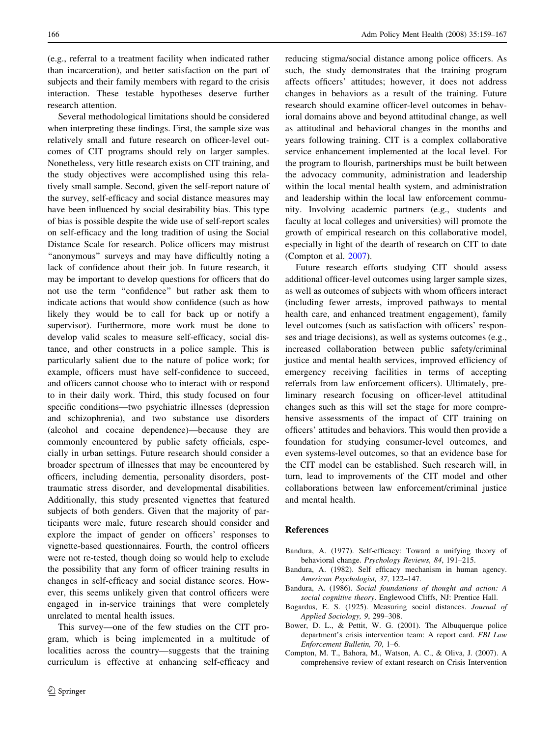<span id="page-7-0"></span>(e.g., referral to a treatment facility when indicated rather than incarceration), and better satisfaction on the part of subjects and their family members with regard to the crisis interaction. These testable hypotheses deserve further research attention.

Several methodological limitations should be considered when interpreting these findings. First, the sample size was relatively small and future research on officer-level outcomes of CIT programs should rely on larger samples. Nonetheless, very little research exists on CIT training, and the study objectives were accomplished using this relatively small sample. Second, given the self-report nature of the survey, self-efficacy and social distance measures may have been influenced by social desirability bias. This type of bias is possible despite the wide use of self-report scales on self-efficacy and the long tradition of using the Social Distance Scale for research. Police officers may mistrust ''anonymous'' surveys and may have difficultly noting a lack of confidence about their job. In future research, it may be important to develop questions for officers that do not use the term ''confidence'' but rather ask them to indicate actions that would show confidence (such as how likely they would be to call for back up or notify a supervisor). Furthermore, more work must be done to develop valid scales to measure self-efficacy, social distance, and other constructs in a police sample. This is particularly salient due to the nature of police work; for example, officers must have self-confidence to succeed, and officers cannot choose who to interact with or respond to in their daily work. Third, this study focused on four specific conditions—two psychiatric illnesses (depression and schizophrenia), and two substance use disorders (alcohol and cocaine dependence)—because they are commonly encountered by public safety officials, especially in urban settings. Future research should consider a broader spectrum of illnesses that may be encountered by officers, including dementia, personality disorders, posttraumatic stress disorder, and developmental disabilities. Additionally, this study presented vignettes that featured subjects of both genders. Given that the majority of participants were male, future research should consider and explore the impact of gender on officers' responses to vignette-based questionnaires. Fourth, the control officers were not re-tested, though doing so would help to exclude the possibility that any form of officer training results in changes in self-efficacy and social distance scores. However, this seems unlikely given that control officers were engaged in in-service trainings that were completely unrelated to mental health issues.

This survey—one of the few studies on the CIT program, which is being implemented in a multitude of localities across the country—suggests that the training curriculum is effective at enhancing self-efficacy and reducing stigma/social distance among police officers. As such, the study demonstrates that the training program affects officers' attitudes; however, it does not address changes in behaviors as a result of the training. Future research should examine officer-level outcomes in behavioral domains above and beyond attitudinal change, as well as attitudinal and behavioral changes in the months and years following training. CIT is a complex collaborative service enhancement implemented at the local level. For the program to flourish, partnerships must be built between the advocacy community, administration and leadership within the local mental health system, and administration and leadership within the local law enforcement community. Involving academic partners (e.g., students and faculty at local colleges and universities) will promote the growth of empirical research on this collaborative model, especially in light of the dearth of research on CIT to date (Compton et al. 2007).

Future research efforts studying CIT should assess additional officer-level outcomes using larger sample sizes, as well as outcomes of subjects with whom officers interact (including fewer arrests, improved pathways to mental health care, and enhanced treatment engagement), family level outcomes (such as satisfaction with officers' responses and triage decisions), as well as systems outcomes (e.g., increased collaboration between public safety/criminal justice and mental health services, improved efficiency of emergency receiving facilities in terms of accepting referrals from law enforcement officers). Ultimately, preliminary research focusing on officer-level attitudinal changes such as this will set the stage for more comprehensive assessments of the impact of CIT training on officers' attitudes and behaviors. This would then provide a foundation for studying consumer-level outcomes, and even systems-level outcomes, so that an evidence base for the CIT model can be established. Such research will, in turn, lead to improvements of the CIT model and other collaborations between law enforcement/criminal justice and mental health.

#### References

- Bandura, A. (1977). Self-efficacy: Toward a unifying theory of behavioral change. Psychology Reviews, 84, 191–215.
- Bandura, A. (1982). Self efficacy mechanism in human agency. American Psychologist, 37, 122–147.
- Bandura, A. (1986). Social foundations of thought and action: A social cognitive theory. Englewood Cliffs, NJ: Prentice Hall.
- Bogardus, E. S. (1925). Measuring social distances. Journal of Applied Sociology, 9, 299–308.
- Bower, D. L., & Pettit, W. G. (2001). The Albuquerque police department's crisis intervention team: A report card. FBI Law Enforcement Bulletin, 70, 1–6.
- Compton, M. T., Bahora, M., Watson, A. C., & Oliva, J. (2007). A comprehensive review of extant research on Crisis Intervention